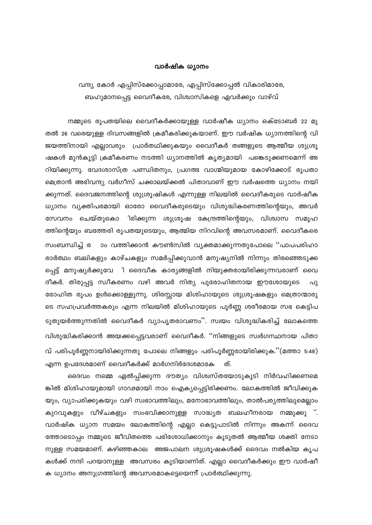## വാർഷിക ധ്യാനം

വന്ദ്യ കോർ എപ്പിസ്ക്കോപ്പാമാരേ, എപ്പിസ്ക്കോപ്പൽ വികാരിമാരേ, ബഹുമാനപ്പെട്ട വൈദീകരേ, വിശ്വാസികളെ ഏവർക്കും വാഴ്വ്

നമ്മുടെ രൂപതയിലെ വൈദീകർക്കായുള്ള വാർഷീക ധ്യാനം ഒക്ടോബർ 22 മു തൽ 26 വരെയുള്ള ദിവസങ്ങളിൽ ക്രമീകരിക്കുകയാണ്. ഈ വർഷിക ധ്യാനത്തിന്റെ വി ജയത്തിനായി എല്ലാവരും പ്രാർതഥിക്കുകയും വൈദീകർ തങ്ങളുടെ ആത്മീയ ശുശ്രൂ ഷകൾ മുൻകൂട്ടി ക്രമീകരണം നടത്തി ധ്യാനത്തിൽ കൃത്യമായി പങ്കെടുക്കണമെന്ന് അ റിയിക്കുന്നു. വേദശാസ്ത്ര പണ്ഡിതനും, പ്രഗത്ഭ വാഗ്മിയുമായ കോഴിക്കോട് രൂപതാ മെത്രാൻ അഭിവന്ദ്യ വർഗീസ് ചക്കാലയ്ക്കൽ പിതാവാണ് ഈ വർഷത്തെ ധ്യാനം നയി ക്കുന്നത്. ദൈവജനത്തിന്റെ ശുശ്രൂഷികൾ എന്നുള്ള നിലയിൽ വൈദീകരുടെ വാർഷീക ധ്യാനം വ്യക്തിപരമായി ഓരോ വൈദീകരുടെയും വിശുദ്ധികരണത്തിന്റെയും, അവർ സേവനം ചെയ്തുകൊ ിരിക്കുന്ന ശുശ്രൂഷ കേന്ദ്രത്തിന്റെയും, വിശ്വാസ സമൂഹ ത്തിന്റെയും ബത്തേരി രൂപതയുടെയും, ആത്മിയ നിറവിന്റെ അവസരമാണ്. വൈദീകരെ സംബന്ധിച്ച് ര ാം വത്തിക്കാൻ കൗൺസിൽ വ്യക്തമാക്കുന്നതുപോലെ ''പാപപരിഹാ രാർത്ഥം ബലികളും കാഴ്ചകളും സമർപ്പിക്കുവാൻ മനുഷ്യനിൽ നിന്നും തിരഞ്ഞെടുക്ക പ്പെട്ട് മനുഷ്യർക്കുവേ ി ദൈവീക കാര്യങ്ങളിൽ നിയുക്തരായിരിക്കുന്നവരാണ് വൈ ദീകർ. തിരുപ്പട്ട സ്വീകരണം വഴി അവർ നിത്യ പുരോഹിതനായ ഈശോയുടെ പു രോഹിത രൂപം ഉൾക്കൊള്ളുന്നു. ശിരസ്സായ മിശിഹായുടെ ശുശ്രൂഷകളും മെത്രാന്മാരു ടെ സഹപ്രവർത്തകരും എന്ന നിലയിൽ മിശിഹായുടെ പൂർണ്ണ ശരീരമായ സഭ കെട്ടിപ ടുതുയർത്തുന്നതിൽ വൈദീകർ വ്യാപൃതരാവണം''. സ്വയം വിശുദ്ധികരിച്ച് ലോകത്തെ വിശുദ്ധികരിക്കാൻ അയക്കപ്പെട്ടവരാണ് വൈദീകർ. ''നിങ്ങളുടെ സ്വർഗസ്ഥനായ പിതാ വ് പരിപൂർണ്ണനായിരിക്കുന്നതു പോലെ നിങ്ങളും പരിപൂർണ്ണരായിരിക്കുക.''(മത്താ 5:48) എന്ന ഉപദേശമാണ് വൈദീകർക്ക് മാർഗനിർദേശമാകേ ത്.

ദൈവം നമ്മെ ഏൽപ്പിക്കുന്ന ദൗത്യം വിശ്വസ്തയോടുകൂടി നിർവഹിക്കണമെ ങ്കിൽ മിശിഹായുമായി ഗാഢമായി നാം ഐക്യപ്പെട്ടിരിക്കണം. ലോകത്തിൽ ജീവിക്കുക യും, വ്യാപരിക്കുകയും വഴി സ്വഭാവത്തിലും, മനോഭാവത്തിലും, താൽപര്യത്തിലുമെല്ലാം കുറവുകളും വീഴ്ചകളും സംഭവിക്കാനുള്ള സാദ്ധ്യത ബലഹീനരായ നമ്മുക്കു ്. വാർഷിക ധ്യാന സമയം ലോകത്തിന്റെ എല്ലാ കെട്ടുപാടിൽ നിന്നും അകന്ന് ദൈവ ത്തോടൊപ്പം നമ്മുടെ ജീവിതത്തെ പരിശോധിക്കാനും കൂടുതൽ ആത്മീയ ശക്തി നേടാ നുള്ള സമയമാണ്. കഴിഞ്ഞകാല അജപാലന ശുശ്രൂഷകൾക്ക് ദൈവം നൽകിയ കൃപ കൾക്ക് നന്ദി പറയാനുള്ള അവസരം കൂടിയാണിത്. എല്ലാ വൈദീകർക്കും ഈ വാർഷീ ക ധ്യാനം അനുഗ്രത്തിന്റെ അവസരമാകട്ടെയെന്ന് പ്രാർത്ഥിക്കുന്നു.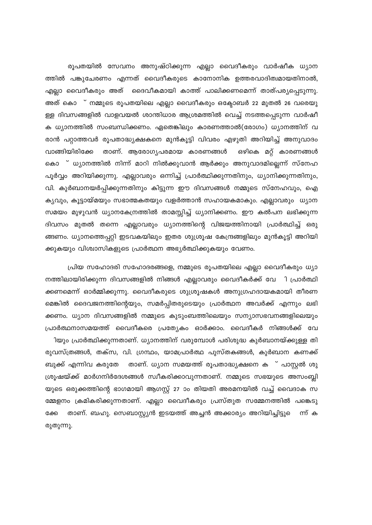രൂപതയിൽ സേവനം അനുഷ്ഠിക്കുന്ന എല്ലാ വൈദീകരും വാർഷീക ധ്യാന ത്തിൽ പങ്കുചേരണം എന്നത് വൈദീകരുടെ കാനോനിക ഉത്തരവാദിത്വമായതിനാൽ, എല്ലാ വൈദീകരും അത് ദൈവീകമായി കാത്ത് പാലിക്കണമെന്ന് താത്പര്യപ്പെടുന്നു. അത് കൊ ് നമ്മുടെ രൂപതയിലെ എല്ലാ വൈദീകരും ഒക്ടോബർ 22 മുതൽ 26 വരെയു ള്ള ദിവസങ്ങളിൽ വാളവയൽ ശാന്തിധാര ആശ്രമത്തിൽ വെച്ച് നടത്തപ്പെടുന്ന വാർഷീ ക ധ്യാനത്തിൽ സംബന്ധിക്കണം. ഏതെങ്കിലും കാരണത്താൽ(രോഗം) ധ്യാനത്തിന് വ രാൻ പറ്റാത്തവർ രൂപതാദ്ധ്യക്ഷകനെ മുൻകൂട്ടി വിവരം എഴുതി അറിയിച്ച് അനുവാദം വാങ്ങിയിരിക്കേ താണ്. ആരോഗൃപരമായ കാരണങ്ങൾ ഒഴികെ മറ്റ് കാരണങ്ങൾ കൊ ് ധ്യാനത്തിൽ നിന്ന് മാറി നിൽക്കുവാൻ ആർക്കും അനുവാദമില്ലെന്ന് സ്നേഹ പൂർവ്വം അറിയിക്കുന്നു. എല്ലാവരും ഒന്നിച്ച് പ്രാർത്ഥിക്കുന്നതിനും, ധ്യാനിക്കുന്നതിനും, വി. കുർബാനയർപ്പിക്കുന്നതിനും കിട്ടുന്ന ഈ ദിവസങ്ങൾ നമ്മുടെ സ്നേഹവും, ഐ കൃവും, കൂട്ടായ്മയും സഭാത്മകതയും വളർത്താൻ സഹായകമാകും. എല്ലാവരും ധ്യാന സമയം മുഴുവൻ ധ്യാനകേന്രത്തിൽ താമസ്സിച്ച് ധ്യാനിക്കണം. ഈ കൽപന ലഭിക്കുന്ന ദിവസം മുതൽ തന്നെ എല്ലാവരും ധ്യാനത്തിന്റെ വിജയത്തിനായി പ്രാർത്ഥിച്ച് ഒരു ങ്ങണം. ധ്യാനത്തെപ്പറ്റി ഇടവകയിലും ഇതര ശുശ്രൂഷ കേന്ദ്രങ്ങളിലും മുൻകൂട്ടി അറിയി ക്കുകയും വിശ്വാസികളുടെ പ്രാർത്ഥന അഭ്യർത്ഥിക്കുകയും വേണം.

പ്രിയ സഹോദരി സഹോദരങ്ങളെ, നമ്മുടെ രൂപതയിലെ എല്ലാ വൈദീകരും ധ്യാ നത്തിലായിരിക്കുന്ന ദിവസങ്ങളിൽ നിങ്ങൾ എല്ലാവരും വൈദീകർക്ക് വേ ി പ്രാർത്ഥി ക്കണമെന്ന് ഓർമ്മിക്കുന്നു. വൈദീകരുടെ ശുശ്രൂഷകൾ അനുഗ്രഹദായകമായി തീരണ മെങ്കിൽ ദൈവജനത്തിന്റെയും, സമർപ്പിതരുടെയും പ്രാർത്ഥന അവർക്ക് എന്നും ലഭി ക്കണം. ധ്യാന ദിവസങ്ങളിൽ നമ്മുടെ കുടുംബത്തിലെയും സന്യാസഭവനങ്ങളിലെയും പ്രാർത്ഥനാസമയത്ത് വൈദീകരെ പ്രത്യേകം ഓർക്കാം. വൈദീകർ നിങ്ങൾക്ക് വേ ിയും പ്രാർത്ഥിക്കുന്നതാണ്. ധ്യാനത്തിന് വരുമ്പോൾ പരിശുദ്ധ കുർബാനയ്ക്കുള്ള തി രുവസ്ത്രങ്ങൾ, തക്സ, വി. ഗ്രന്ഥം, യാമപ്രാർത്ഥ പുസ്തകങ്ങൾ, കുർബാന കണക്ക് ബുക്ക് എന്നിവ കരുതേ താണ്. ധ്യാന സമയത്ത് രൂപതാദ്ധ്യക്ഷനെ ക<sup>്</sup> പാസ്റ്റൽ ശു ശ്രൂഷയ്ക്ക് മാർഗനിർദേശങ്ങൾ സ്വീകരിക്കാവുന്നതാണ്. നമ്മുടെ സഭയുടെ അസംബ്ലി യുടെ ഒരുക്കത്തിന്റെ ഭാഗമായി ആഗസ്റ്റ് 27 ാം തിയതി അരമനയിൽ വച്ച് വൈദാക സ മ്മേളനം ക്രമികരിക്കുന്നതാണ്. എല്ലാ വൈദീകരും പ്രസ്തുത സമ്മേനത്തിൽ പങ്കെടു ക്കേ താണ്. ബഹു. സെബാസ്റ്റ്യൻ ഇടയത്ത് അച്ചൻ അക്കാര്യം അറിയിച്ചിട്ടുെ ന്ന് ക രുതുന്നു.